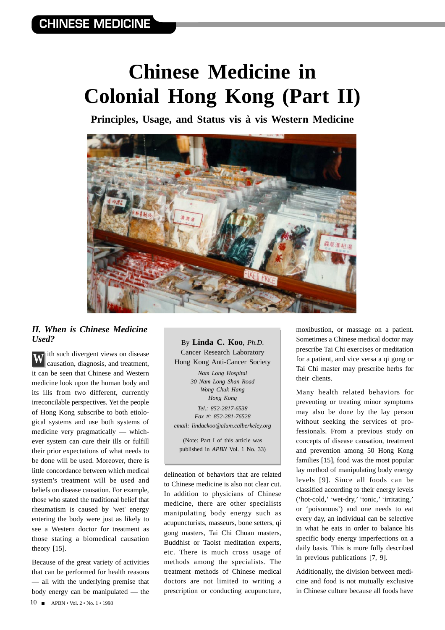## **Chinese Medicine in Colonial Hong Kong (Part II)**

**Principles, Usage, and Status vis à vis Western Medicine**



## *II. When is Chinese Medicine Used?*

ith such divergent views on disease causation, diagnosis, and treatment, it can be seen that Chinese and Western medicine look upon the human body and its ills from two different, currently irreconcilable perspectives. Yet the people of Hong Kong subscribe to both etiological systems and use both systems of medicine very pragmatically — whichever system can cure their ills or fulfill their prior expectations of what needs to be done will be used. Moreover, there is little concordance between which medical system's treatment will be used and beliefs on disease causation. For example, those who stated the traditional belief that rheumatism is caused by 'wet' energy entering the body were just as likely to see a Western doctor for treatment as those stating a biomedical causation theory [15]. **W**

10 APBN • Vol. 2 • No. 1 • 1998 Because of the great variety of activities that can be performed for health reasons — all with the underlying premise that body energy can be manipulated — the

By **Linda C. Koo**, *Ph.D*. Cancer Research Laboratory Hong Kong Anti-Cancer Society *Nam Long Hospital*

*30 Nam Long Shan Road Wong Chuk Hang Hong Kong Tel.: 852-2817-6538 Fax #: 852-281-76528 email: lindackoo@alum.calberkeley.org*

(Note: Part I of this article was published in *APBN* Vol. 1 No. 33)

delineation of behaviors that are related to Chinese medicine is also not clear cut. In addition to physicians of Chinese medicine, there are other specialists manipulating body energy such as acupuncturists, masseurs, bone setters, qi gong masters, Tai Chi Chuan masters, Buddhist or Taoist meditation experts, etc. There is much cross usage of methods among the specialists. The treatment methods of Chinese medical doctors are not limited to writing a prescription or conducting acupuncture,

moxibustion, or massage on a patient. Sometimes a Chinese medical doctor may prescribe Tai Chi exercises or meditation for a patient, and vice versa a qi gong or Tai Chi master may prescribe herbs for their clients.

Many health related behaviors for preventing or treating minor symptoms may also be done by the lay person without seeking the services of professionals. From a previous study on concepts of disease causation, treatment and prevention among 50 Hong Kong families [15], food was the most popular lay method of manipulating body energy levels [9]. Since all foods can be classified according to their energy levels ('hot-cold,' 'wet-dry,' 'tonic,' 'irritating,' or 'poisonous') and one needs to eat every day, an individual can be selective in what he eats in order to balance his specific body energy imperfections on a daily basis. This is more fully described in previous publications [7, 9].

Additionally, the division between medicine and food is not mutually exclusive in Chinese culture because all foods have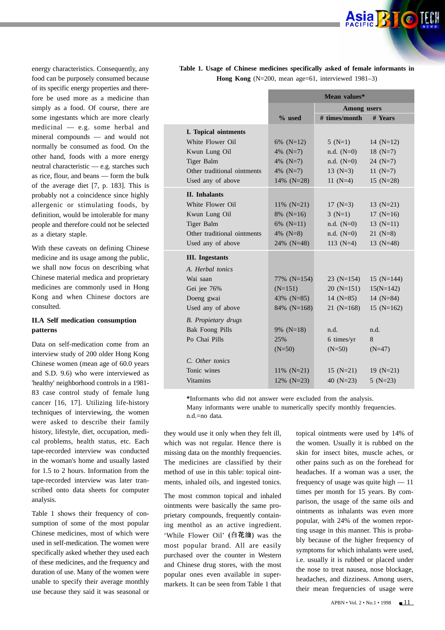energy characteristics. Consequently, any food can be purposely consumed because of its specific energy properties and therefore be used more as a medicine than simply as a food. Of course, there are some ingestants which are more clearly medicinal — e.g. some herbal and mineral compounds — and would not normally be consumed as food. On the other hand, foods with a more energy neutral characteristic — e.g. starches such as rice, flour, and beans — form the bulk of the average diet [7, p. 183]. This is probably not a coincidence since highly allergenic or stimulating foods, by definition, would be intolerable for many people and therefore could not be selected as a dietary staple.

With these caveats on defining Chinese medicine and its usage among the public, we shall now focus on describing what Chinese material medica and proprietary medicines are commonly used in Hong Kong and when Chinese doctors are consulted.

## **II.A Self medication consumption patterns**

Data on self-medication come from an interview study of 200 older Hong Kong Chinese women (mean age of 60.0 years and S.D. 9.6) who were interviewed as 'healthy' neighborhood controls in a 1981- 83 case control study of female lung cancer [16, 17]. Utilizing life-history techniques of interviewing, the women were asked to describe their family history, lifestyle, diet, occupation, medical problems, health status, etc. Each tape-recorded interview was conducted in the woman's home and usually lasted for 1.5 to 2 hours. Information from the tape-recorded interview was later transcribed onto data sheets for computer analysis.

Table 1 shows their frequency of consumption of some of the most popular Chinese medicines, most of which were used in self-medication. The women were specifically asked whether they used each of these medicines, and the frequency and duration of use. Many of the women were unable to specify their average monthly use because they said it was seasonal or **Table 1. Usage of Chinese medicines specifically asked of female informants in Hong Kong** (N=200, mean age=61, interviewed 1981–3)

|                             | Mean values*       |               |              |  |  |
|-----------------------------|--------------------|---------------|--------------|--|--|
|                             | <b>Among</b> users |               |              |  |  |
|                             | $%$ used           | # times/month | # Years      |  |  |
| I. Topical ointments        |                    |               |              |  |  |
| White Flower Oil            | 6% $(N=12)$        | $5(N=1)$      | 14 $(N=12)$  |  |  |
| Kwun Lung Oil               | 4% $(N=7)$         | $n.d. (N=0)$  | 18 $(N=7)$   |  |  |
| Tiger Balm                  | 4\% $(N=7)$        | $n.d. (N=0)$  | $24$ (N=7)   |  |  |
| Other traditional ointments | 4% $(N=7)$         | 13 $(N=3)$    | 11 $(N=7)$   |  |  |
| Used any of above           | 14% $(N=28)$       | 11 $(N=4)$    | $15$ (N=28)  |  |  |
| <b>II.</b> Inhalants        |                    |               |              |  |  |
| White Flower Oil            | 11% $(N=21)$       | 17 $(N=3)$    | 13 $(N=21)$  |  |  |
| Kwun Lung Oil               | $8\%$ (N=16)       | $3(N=1)$      | $17(N=16)$   |  |  |
| Tiger Balm                  | 6% $(N=11)$        | $n.d. (N=0)$  | $13(N=11)$   |  |  |
| Other traditional ointments | 4% ( $N=8$ )       | $n.d. (N=0)$  | $21 (N=8)$   |  |  |
| Used any of above           | 24% (N=48)         | 113 $(N=4)$   | 13 $(N=48)$  |  |  |
| <b>III.</b> Ingestants      |                    |               |              |  |  |
| A. Herbal tonics            |                    |               |              |  |  |
| Wai saan                    | 77% (N=154)        | $23 (N=154)$  | $15$ (N=144) |  |  |
| Gei jee 76%                 | $(N=151)$          | $20 (N=151)$  | $15(N=142)$  |  |  |
| Doeng gwai                  | 43\% $(N=85)$      | $14 \ (N=85)$ | 14 $(N=84)$  |  |  |
| Used any of above           | $84\%$ (N=168)     | $21 (N=168)$  | $15$ (N=162) |  |  |
| <b>B.</b> Propietary drugs  |                    |               |              |  |  |
| <b>Bak Foong Pills</b>      | 9% $(N=18)$        | n.d.          | n.d.         |  |  |
| Po Chai Pills               | 25%                | 6 times/yr    | 8            |  |  |
|                             | $(N=50)$           | $(N=50)$      | $(N=47)$     |  |  |
| C. Other tonics             |                    |               |              |  |  |
| Tonic wines                 | $11\%$ (N=21)      | $15 (N=21)$   | $19 (N=21)$  |  |  |
| <b>Vitamins</b>             | 12% $(N=23)$       | 40 $(N=23)$   | $5 (N=23)$   |  |  |
|                             |                    |               |              |  |  |

**\***Informants who did not answer were excluded from the analysis.

Many informants were unable to numerically specify monthly frequencies. n.d.=no data.

they would use it only when they felt ill, which was not regular. Hence there is missing data on the monthly frequencies. The medicines are classified by their method of use in this table: topical ointments, inhaled oils, and ingested tonics.

The most common topical and inhaled ointments were basically the same proprietary compounds, frequently containing menthol as an active ingredient. 'While Flower Oil' (白花油) was the most popular brand. All are easily purchased over the counter in Western and Chinese drug stores, with the most popular ones even available in supermarkets. It can be seen from Table 1 that

topical ointments were used by 14% of the women. Usually it is rubbed on the skin for insect bites, muscle aches, or other pains such as on the forehead for headaches. If a woman was a user, the frequency of usage was quite high — 11 times per month for 15 years. By comparison, the usage of the same oils and ointments as inhalants was even more popular, with 24% of the women reporting usage in this manner. This is probably because of the higher frequency of symptoms for which inhalants were used, i.e. usually it is rubbed or placed under the nose to treat nausea, nose blockage, headaches, and dizziness. Among users, their mean frequencies of usage were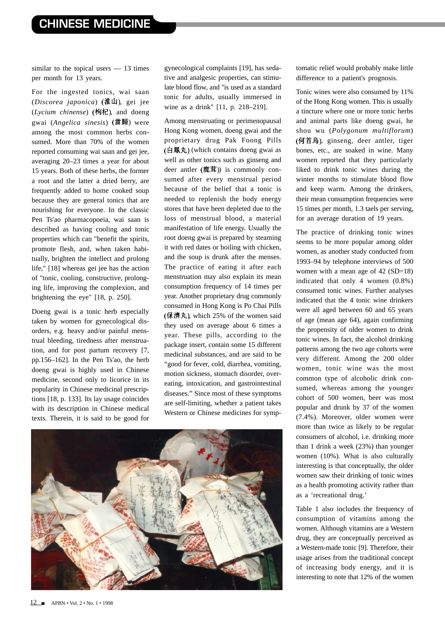similar to the topical users — 13 times per month for 13 years.

For the ingested tonics, wai saan (*Discorea japonica*) (淮山), gei jee  $(Lycium$  *chinense*) (枸杞), and doeng gwai (*Angelica sinesis*) were among the most common herbs consumed. More than 70% of the women reported consuming wai saan and gei jee, averaging 20–23 times a year for about 15 years. Both of these herbs, the former a root and the latter a dried berry, are frequently added to home cooked soup because they are general tonics that are nourishing for everyone. In the classic Pen Ts'ao pharmacopoeia, wai saan is described as having cooling and tonic properties which can "benefit the spirits, promote flesh, and, when taken habitually, brighten the intellect and prolong life," [18] whereas gei jee has the action of "tonic, cooling, constructive, prolonging life, improving the complexion, and brightening the eye" [18, p. 250].

Doeng gwai is a tonic herb especially taken by women for gynecological disorders, e.g. heavy and/or painful menstrual bleeding, tiredness after menstruation, and for post partum recovery [7, pp.156–162]. In the Pen Ts'ao, the herb doeng gwai is highly used in Chinese medicine, second only to licorice in its popularity in Chinese medicinal prescriptions [18, p. 133]. Its lay usage coincides with its description in Chinese medical texts. Therein, it is said to be good for gynecological complaints [19], has sedative and analgesic properties, can stimulate blood flow, and "is used as a standard tonic for adults, usually immersed in wine as a drink" [11, p. 218–219].

Among menstruating or perimenopausal Hong Kong women, doeng gwai and the proprietary drug Pak Foong Pills  $($ 白鳳丸 $)$  (which contains doeng gwai as well as other tonics such as ginseng and deer antler  $( sharp$  $)$  is commonly consumed after every menstrual period because of the belief that a tonic is needed to replenish the body energy stores that have been depleted due to the loss of menstrual blood, a material manifestation of life energy. Usually the root doeng gwai is prepared by steaming it with red dates or boiling with chicken, and the soup is drunk after the menses. The practice of eating it after each menstruation may also explain its mean consumption frequency of 14 times per year. Another proprietary drug commonly consumed in Hong Kong is Po Chai Pills  $($ 保濟丸), which 25% of the women said they used on average about 6 times a year. These pills, according to the package insert, contain some 15 different medicinal substances, and are said to be "good for fever, cold, diarrhea, vomiting, motion sickness, stomach disorder, overeating, intoxication, and gastrointestinal diseases." Since most of these symptoms are self-limiting, whether a patient takes Western or Chinese medicines for symp-



tomatic relief would probably make little difference to a patient's prognosis.

Tonic wines were also consumed by 11% of the Hong Kong women. This is usually a tincture where one or more tonic herbs and animal parts like doeng gwai, he shou wu (*Polygonum multiflorum*)  $(opli$ 首烏), ginseng, deer antler, tiger bones, etc., are soaked in wine. Many women reported that they particularly liked to drink tonic wines during the winter months to stimulate blood flow and keep warm. Among the drinkers, their mean consumption frequencies were 15 times per month, 1.3 taels per serving, for an average duration of 19 years.

The practice of drinking tonic wines seems to be more popular among older women, as another study conducted from 1993–94 by telephone interviews of 500 women with a mean age of 42 (SD=18) indicated that only 4 women (0.8%) consumed tonic wines. Further analyses indicated that the 4 tonic wine drinkers were all aged between 60 and 65 years of age (mean age 64), again confirming the propensity of older women to drink tonic wines. In fact, the alcohol drinking patterns among the two age cohorts were very different. Among the 200 older women, tonic wine was the most common type of alcoholic drink consumed, whereas among the younger cohort of 500 women, beer was most popular and drunk by 37 of the women (7.4%). Moreover, older women were more than twice as likely to be regular consumers of alcohol, i.e. drinking more than 1 drink a week (23%) than younger women (10%). What is also culturally interesting is that conceptually, the older women saw their drinking of tonic wines as a health promoting activity rather than as a 'recreational drug.'

Table 1 also includes the frequency of consumption of vitamins among the women. Although vitamins are a Western drug, they are conceptually perceived as a Western-made tonic [9]. Therefore, their usage arises from the traditional concept of increasing body energy, and it is interesting to note that 12% of the women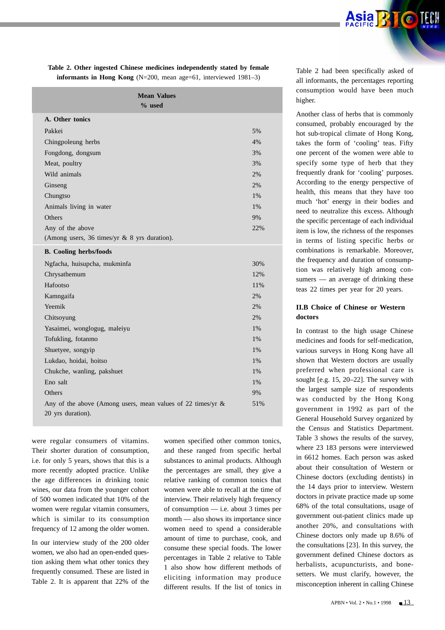**Table 2. Other ingested Chinese medicines independently stated by female informants in Hong Kong** (N=200, mean age=61, interviewed 1981–3)

| <b>Mean Values</b><br>$%$ used                                                   |       |
|----------------------------------------------------------------------------------|-------|
| A. Other tonics                                                                  |       |
| Pakkei                                                                           | 5%    |
| Chingpoleung herbs                                                               | 4%    |
| Fongdong, dongsum                                                                | 3%    |
| Meat, poultry                                                                    | 3%    |
| Wild animals                                                                     | 2%    |
| Ginseng                                                                          | 2%    |
| Chungtso                                                                         | 1%    |
| Animals living in water                                                          | 1%    |
| Others                                                                           | 9%    |
| Any of the above                                                                 | 22%   |
| (Among users, 36 times/yr & 8 yrs duration).                                     |       |
| <b>B.</b> Cooling herbs/foods                                                    |       |
| Ngfacha, huisupcha, mukminfa                                                     | 30%   |
| Chrysathemum                                                                     | 12%   |
| Hafootso                                                                         | 11%   |
| Kamngaifa                                                                        | 2%    |
| Yeemik                                                                           | 2%    |
| Chitsoyung                                                                       | 2%    |
| Yasaimei, wonglogug, maleiyu                                                     | $1\%$ |
| Tofukling, fotanmo                                                               | 1%    |
| Shuetyee, songyip                                                                | 1%    |
| Lukdao, hoidai, hoitso                                                           | 1%    |
| Chukche, wanling, pakshuet                                                       | 1%    |
| Eno salt                                                                         | 1%    |
| Others                                                                           | 9%    |
| Any of the above (Among users, mean values of 22 times/yr &<br>20 yrs duration). | 51%   |

were regular consumers of vitamins. Their shorter duration of consumption, i.e. for only 5 years, shows that this is a more recently adopted practice. Unlike the age differences in drinking tonic wines, our data from the younger cohort of 500 women indicated that 10% of the women were regular vitamin consumers, which is similar to its consumption frequency of 12 among the older women.

In our interview study of the 200 older women, we also had an open-ended question asking them what other tonics they frequently consumed. These are listed in Table 2. It is apparent that 22% of the

women specified other common tonics, and these ranged from specific herbal substances to animal products. Although the percentages are small, they give a relative ranking of common tonics that women were able to recall at the time of interview. Their relatively high frequency of consumption — i.e. about 3 times per month — also shows its importance since women need to spend a considerable amount of time to purchase, cook, and consume these special foods. The lower percentages in Table 2 relative to Table 1 also show how different methods of eliciting information may produce different results. If the list of tonics in

Table 2 had been specifically asked of all informants, the percentages reporting consumption would have been much higher.

Another class of herbs that is commonly consumed, probably encouraged by the hot sub-tropical climate of Hong Kong, takes the form of 'cooling' teas. Fifty one percent of the women were able to specify some type of herb that they frequently drank for 'cooling' purposes. According to the energy perspective of health, this means that they have too much 'hot' energy in their bodies and need to neutralize this excess. Although the specific percentage of each individual item is low, the richness of the responses in terms of listing specific herbs or combinations is remarkable. Moreover, the frequency and duration of consumption was relatively high among consumers — an average of drinking these teas 22 times per year for 20 years.

## **II.B Choice of Chinese or Western doctors**

In contrast to the high usage Chinese medicines and foods for self-medication, various surveys in Hong Kong have all shown that Western doctors are usually preferred when professional care is sought [e.g. 15, 20–22]. The survey with the largest sample size of respondents was conducted by the Hong Kong government in 1992 as part of the General Household Survey organized by the Census and Statistics Department. Table 3 shows the results of the survey, where 23 183 persons were interviewed in 6612 homes. Each person was asked about their consultation of Western or Chinese doctors (excluding dentists) in the 14 days prior to interview. Western doctors in private practice made up some 68% of the total consultations, usage of government out-patient clinics made up another 20%, and consultations with Chinese doctors only made up 8.6% of the consultations [23]. In this survey, the government defined Chinese doctors as herbalists, acupuncturists, and bonesetters. We must clarify, however, the misconception inherent in calling Chinese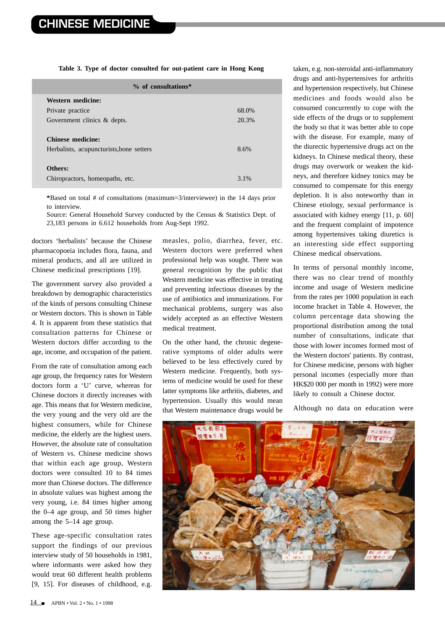**Table 3. Type of doctor consulted for out-patient care in Hong Kong**

| $%$ of consultations*                    |       |  |  |  |  |
|------------------------------------------|-------|--|--|--|--|
| Western medicine:                        |       |  |  |  |  |
| Private practice                         | 68.0% |  |  |  |  |
| Government clinics & depts.              | 20.3% |  |  |  |  |
|                                          |       |  |  |  |  |
| <b>Chinese medicine:</b>                 |       |  |  |  |  |
| Herbalists, acupuncturists, bone setters | 8.6%  |  |  |  |  |
|                                          |       |  |  |  |  |
| Others:                                  |       |  |  |  |  |
| Chiropractors, homeopaths, etc.          | 3.1%  |  |  |  |  |

**\***Based on total # of consultations (maximum=3/interviewee) in the 14 days prior to interview.

Source: General Household Survey conducted by the Census & Statistics Dept. of 23,183 persons in 6.612 households from Aug-Sept 1992.

doctors 'herbalists' because the Chinese pharmacopoeia includes flora, fauna, and mineral products, and all are utilized in Chinese medicinal prescriptions [19].

The government survey also provided a breakdown by demographic characteristics of the kinds of persons consulting Chinese or Western doctors. This is shown in Table 4. It is apparent from these statistics that consultation patterns for Chinese or Western doctors differ according to the age, income, and occupation of the patient.

From the rate of consultation among each age group, the frequency rates for Western doctors form a 'U' curve, whereas for Chinese doctors it directly increases with age. This means that for Western medicine, the very young and the very old are the highest consumers, while for Chinese medicine, the elderly are the highest users. However, the absolute rate of consultation of Western vs. Chinese medicine shows that within each age group, Western doctors were consulted 10 to 84 times more than Chinese doctors. The difference in absolute values was highest among the very young, i.e. 84 times higher among the 0–4 age group, and 50 times higher among the 5–14 age group.

These age-specific consultation rates support the findings of our previous interview study of 50 households in 1981, where informants were asked how they would treat 60 different health problems [9, 15]. For diseases of childhood, e.g.

measles, polio, diarrhea, fever, etc. Western doctors were preferred when professional help was sought. There was general recognition by the public that Western medicine was effective in treating and preventing infectious diseases by the use of antibiotics and immunizations. For mechanical problems, surgery was also widely accepted as an effective Western medical treatment.

On the other hand, the chronic degenerative symptoms of older adults were believed to be less effectively cured by Western medicine. Frequently, both systems of medicine would be used for these latter symptoms like arthritis, diabetes, and hypertension. Usually this would mean that Western maintenance drugs would be

taken, e.g. non-steroidal anti-inflammatory drugs and anti-hypertensives for arthritis and hypertension respectively, but Chinese medicines and foods would also be consumed concurrently to cope with the side effects of the drugs or to supplement the body so that it was better able to cope with the disease. For example, many of the diurectic hypertensive drugs act on the kidneys. In Chinese medical theory, these drugs may overwork or weaken the kidneys, and therefore kidney tonics may be consumed to compensate for this energy depletion. It is also noteworthy than in Chinese etiology, sexual performance is associated with kidney energy [11, p. 60] and the frequent complaint of impotence among hypertensives taking diuretics is an interesting side effect supporting Chinese medical observations.

In terms of personal monthly income, there was no clear trend of monthly income and usage of Western medicine from the rates per 1000 population in each income bracket in Table 4. However, the column percentage data showing the proportional distribution among the total number of consultations, indicate that those with lower incomes formed most of the Western doctors' patients. By contrast, for Chinese medicine, persons with higher personal incomes (especially more than HK\$20 000 per month in 1992) were more likely to consult a Chinese doctor.

Although no data on education were

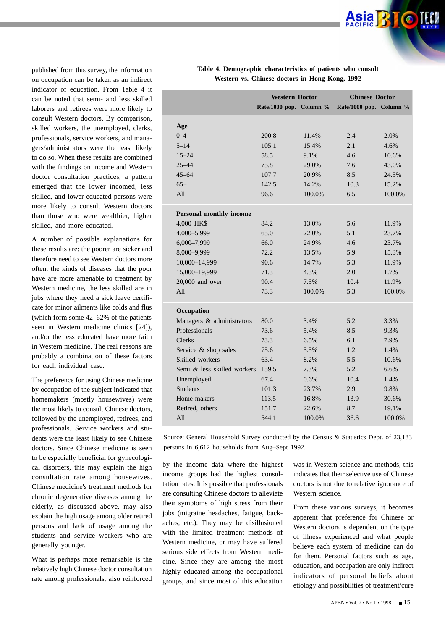published from this survey, the information on occupation can be taken as an indirect indicator of education. From Table 4 it can be noted that semi- and less skilled laborers and retirees were more likely to consult Western doctors. By comparison, skilled workers, the unemployed, clerks, professionals, service workers, and managers/administrators were the least likely to do so. When these results are combined with the findings on income and Western doctor consultation practices, a pattern emerged that the lower incomed, less skilled, and lower educated persons were more likely to consult Western doctors than those who were wealthier, higher skilled, and more educated.

A number of possible explanations for these results are: the poorer are sicker and therefore need to see Western doctors more often, the kinds of diseases that the poor have are more amenable to treatment by Western medicine, the less skilled are in jobs where they need a sick leave certificate for minor ailments like colds and flus (which form some 42–62% of the patients seen in Western medicine clinics [24]), and/or the less educated have more faith in Western medicine. The real reasons are probably a combination of these factors for each individual case.

The preference for using Chinese medicine by occupation of the subject indicated that homemakers (mostly housewives) were the most likely to consult Chinese doctors, followed by the unemployed, retirees, and professionals. Service workers and students were the least likely to see Chinese doctors. Since Chinese medicine is seen to be especially beneficial for gynecological disorders, this may explain the high consultation rate among housewives. Chinese medicine's treatment methods for chronic degenerative diseases among the elderly, as discussed above, may also explain the high usage among older retired persons and lack of usage among the students and service workers who are generally younger.

What is perhaps more remarkable is the relatively high Chinese doctor consultation rate among professionals, also reinforced

|                                | <b>Western Doctor</b>   |        | <b>Chinese Doctor</b>   |        |
|--------------------------------|-------------------------|--------|-------------------------|--------|
|                                | Rate/1000 pop. Column % |        | Rate/1000 pop. Column % |        |
| Age                            |                         |        |                         |        |
| $0 - 4$                        | 200.8                   | 11.4%  | 2.4                     | 2.0%   |
| $5 - 14$                       | 105.1                   | 15.4%  | 2.1                     | 4.6%   |
|                                |                         |        | 4.6                     |        |
| $15 - 24$                      | 58.5                    | 9.1%   |                         | 10.6%  |
| $25 - 44$                      | 75.8                    | 29.0%  | 7.6                     | 43.0%  |
| $45 - 64$                      | 107.7                   | 20.9%  | 8.5                     | 24.5%  |
| $65+$                          | 142.5                   | 14.2%  | 10.3                    | 15.2%  |
| All                            | 96.6                    | 100.0% | 6.5                     | 100.0% |
| <b>Personal monthly income</b> |                         |        |                         |        |
| 4,000 HK\$                     | 84.2                    | 13.0%  | 5.6                     | 11.9%  |
| 4,000-5,999                    | 65.0                    | 22.0%  | 5.1                     | 23.7%  |
| 6,000-7,999                    | 66.0                    | 24.9%  | 4.6                     | 23.7%  |
| 8,000-9,999                    | 72.2                    | 13.5%  | 5.9                     | 15.3%  |
| 10,000-14,999                  | 90.6                    | 14.7%  | 5.3                     | 11.9%  |
| 15,000-19,999                  | 71.3                    | 4.3%   | 2.0                     | 1.7%   |
| $20,000$ and over              | 90.4                    | 7.5%   | 10.4                    | 11.9%  |
| All                            | 73.3                    | 100.0% | 5.3                     | 100.0% |
| Occupation                     |                         |        |                         |        |
| Managers & administrators      | 80.0                    | 3.4%   | 5.2                     | 3.3%   |
| Professionals                  | 73.6                    | 5.4%   | 8.5                     | 9.3%   |
| Clerks                         | 73.3                    | 6.5%   | 6.1                     | 7.9%   |
| Service & shop sales           | 75.6                    | 5.5%   | 1.2                     | 1.4%   |
| Skilled workers                | 63.4                    | 8.2%   | 5.5                     | 10.6%  |
| Semi & less skilled workers    | 159.5                   | 7.3%   | 5.2                     | 6.6%   |
| Unemployed                     | 67.4                    | 0.6%   | 10.4                    | 1.4%   |
| <b>Students</b>                | 101.3                   | 23.7%  | 2.9                     | 9.8%   |
| Home-makers                    | 113.5                   | 16.8%  | 13.9                    | 30.6%  |
| Retired, others                | 151.7                   | 22.6%  | 8.7                     | 19.1%  |
| All                            | 544.1                   | 100.0% | 36.6                    | 100.0% |
|                                |                         |        |                         |        |

**Table 4. Demographic characteristics of patients who consult Western vs. Chinese doctors in Hong Kong, 1992**

Source: General Household Survey conducted by the Census & Statistics Dept. of 23,183 persons in 6,612 households from Aug–Sept 1992.

by the income data where the highest income groups had the highest consultation rates. It is possible that professionals are consulting Chinese doctors to alleviate their symptoms of high stress from their jobs (migraine headaches, fatigue, backaches, etc.). They may be disillusioned with the limited treatment methods of Western medicine, or may have suffered serious side effects from Western medicine. Since they are among the most highly educated among the occupational groups, and since most of this education

was in Western science and methods, this indicates that their selective use of Chinese doctors is not due to relative ignorance of Western science.

From these various surveys, it becomes apparent that preference for Chinese or Western doctors is dependent on the type of illness experienced and what people believe each system of medicine can do for them. Personal factors such as age, education, and occupation are only indirect indicators of personal beliefs about etiology and possibilities of treatment/cure